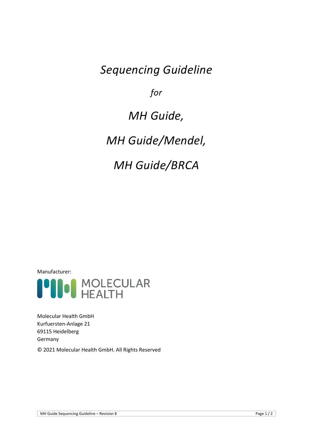# *Sequencing Guideline*

*for* 

# *MH Guide,*

*MH Guide/Mendel,*

# *MH Guide/BRCA*

Manufacturer:



Molecular Health GmbH Kurfuersten-Anlage 21 69115 Heidelberg Germany

© 2021 Molecular Health GmbH. All Rights Reserved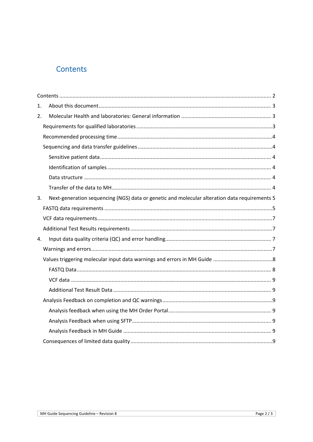# <span id="page-1-0"></span>Contents

| 1. |                                                                                               |  |
|----|-----------------------------------------------------------------------------------------------|--|
| 2. |                                                                                               |  |
|    |                                                                                               |  |
|    |                                                                                               |  |
|    |                                                                                               |  |
|    |                                                                                               |  |
|    |                                                                                               |  |
|    |                                                                                               |  |
|    |                                                                                               |  |
| 3. | Next-generation sequencing (NGS) data or genetic and molecular alteration data requirements 5 |  |
|    |                                                                                               |  |
|    |                                                                                               |  |
|    |                                                                                               |  |
| 4. |                                                                                               |  |
|    |                                                                                               |  |
|    |                                                                                               |  |
|    |                                                                                               |  |
|    |                                                                                               |  |
|    |                                                                                               |  |
|    |                                                                                               |  |
|    |                                                                                               |  |
|    |                                                                                               |  |
|    |                                                                                               |  |
|    |                                                                                               |  |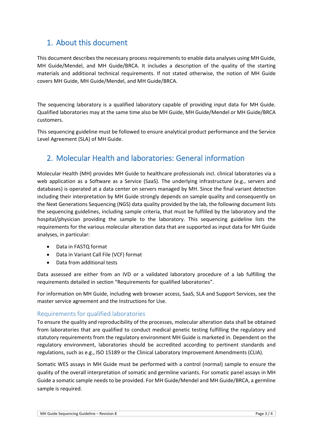# <span id="page-2-0"></span>1. About this document

This document describes the necessary process requirements to enable data analyses using MH Guide, MH Guide/Mendel, and MH Guide/BRCA. It includes a description of the quality of the starting materials and additional technical requirements. If not stated otherwise, the notion of MH Guide covers MH Guide, MH Guide/Mendel, and MH Guide/BRCA.

The sequencing laboratory is a qualified laboratory capable of providing input data for MH Guide. Qualified laboratories may at the same time also be MH Guide, MH Guide/Mendel or MH Guide/BRCA customers.

This sequencing guideline must be followed to ensure analytical product performance and the Service Level Agreement (SLA) of MH Guide.

# <span id="page-2-1"></span>2. Molecular Health and laboratories: General information

Molecular Health (MH) provides MH Guide to healthcare professionals incl. clinical laboratories via a web application as a Software as a Service (SaaS). The underlying infrastructure (e.g., servers and databases) is operated at a data center on servers managed by MH. Since the final variant detection including their interpretation by MH Guide strongly depends on sample quality and consequently on the Next Generations Sequencing (NGS) data quality provided by the lab, the following document lists the sequencing guidelines, including sample criteria, that must be fulfilled by the laboratory and the hospital/physician providing the sample to the laboratory. This sequencing guideline lists the requirements for the various molecular alteration data that are supported as input data for MH Guide analyses, in particular:

- Data in FASTQ format
- Data in Variant Call File (VCF) format
- Data from additional tests

Data assessed are either from an IVD or a validated laboratory procedure of a lab fulfilling the requirements detailed in section ["Requirements for qualified laboratories"](#page-2-2).

For information on MH Guide, including web browser access, SaaS, SLA and Support Services, see the master service agreement and the Instructions for Use.

# <span id="page-2-2"></span>Requirements for qualified laboratories

To ensure the quality and reproducibility of the processes, molecular alteration data shall be obtained from laboratories that are qualified to conduct medical genetic testing fulfilling the regulatory and statutory requirements from the regulatory environment MH Guide is marketed in. Dependent on the regulatory environment, laboratories should be accredited according to pertinent standards and regulations, such as e.g., ISO 15189 or the Clinical Laboratory Improvement Amendments (CLIA).

Somatic WES assays in MH Guide must be performed with a control (normal) sample to ensure the quality of the overall interpretation of somatic and germline variants. For somatic panel assays in MH Guide a somatic sample needs to be provided. For MH Guide/Mendel and MH Guide/BRCA, a germline sample is required.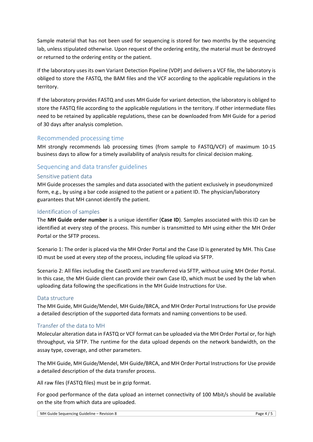Sample material that has not been used for sequencing is stored for two months by the sequencing lab, unless stipulated otherwise. Upon request of the ordering entity, the material must be destroyed or returned to the ordering entity or the patient.

If the laboratory uses its own Variant Detection Pipeline (VDP) and delivers a VCF file, the laboratory is obliged to store the FASTQ, the BAM files and the VCF according to the applicable regulations in the territory.

If the laboratory provides FASTQ and uses MH Guide for variant detection, the laboratory is obliged to store the FASTQ file according to the applicable regulations in the territory. If other intermediate files need to be retained by applicable regulations, these can be downloaded from MH Guide for a period of 30 days after analysis completion.

# <span id="page-3-0"></span>Recommended processing time

MH strongly recommends lab processing times (from sample to FASTQ/VCF) of maximum 10-15 business days to allow for a timely availability of analysis results for clinical decision making.

# <span id="page-3-1"></span>Sequencing and data transfer guidelines

# <span id="page-3-2"></span>Sensitive patient data

MH Guide processes the samples and data associated with the patient exclusively in pseudonymized form, e.g., by using a bar code assigned to the patient or a patient ID. The physician/laboratory guarantees that MH cannot identify the patient.

# <span id="page-3-3"></span>Identification of samples

The **MH Guide order number** is a unique identifier (**Case ID**). Samples associated with this ID can be identified at every step of the process. This number is transmitted to MH using either the MH Order Portal or the SFTP process.

Scenario 1: The order is placed via the MH Order Portal and the Case ID is generated by MH. This Case ID must be used at every step of the process, including file upload via SFTP.

Scenario 2: All files including the CaseID.xml are transferred via SFTP, without using MH Order Portal. In this case, the MH Guide client can provide their own Case ID, which must be used by the lab when uploading data following the specifications in the MH Guide Instructions for Use.

# <span id="page-3-4"></span>Data structure

The MH Guide, MH Guide/Mendel, MH Guide/BRCA, and MH Order Portal Instructions for Use provide a detailed description of the supported data formats and naming conventions to be used.

# <span id="page-3-5"></span>Transfer of the data to MH

Molecular alteration data in FASTQ or VCF format can be uploaded via the MH Order Portal or, for high throughput, via SFTP. The runtime for the data upload depends on the network bandwidth, on the assay type, coverage, and other parameters.

The MH Guide, MH Guide/Mendel, MH Guide/BRCA, and MH Order Portal Instructions for Use provide a detailed description of the data transfer process.

All raw files (FASTQ files) must be in gzip format.

For good performance of the data upload an internet connectivity of 100 Mbit/s should be available on the site from which data are uploaded.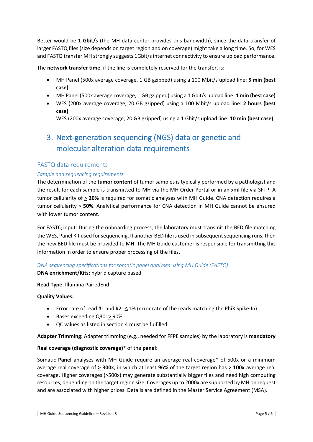Better would be **1 Gbit/s** (the MH data center provides this bandwidth), since the data transfer of larger FASTQ files (size depends on target region and on coverage) might take a long time. So, for WES and FASTQ transfer MH strongly suggests 1Gbit/s internet connectivity to ensure upload performance.

The **network transfer time**, if the line is completely reserved for the transfer, is:

- MH Panel (500x average coverage, 1 GB gzipped) using a 100 Mbit/s upload line: **5 min (best case)**
- MH Panel (500x average coverage, 1 GB gzipped) using a 1 Gbit/s upload line: **1 min (best case)**
- WES (200x average coverage, 20 GB gzipped) using a 100 Mbit/s upload line: **2 hours (best case)**

WES (200x average coverage, 20 GB gzipped) using a 1 Gbit/s upload line: **10 min (best case)**

# <span id="page-4-0"></span>3. Next-generation sequencing (NGS) data or genetic and molecular alteration data requirements

# <span id="page-4-1"></span>FASTQ data requirements

# *Sample and sequencing requirements*

The determination of the **tumor content** of tumor samples is typically performed by a pathologist and the result for each sample is transmitted to MH via the MH Order Portal or in an xml file via SFTP. A tumor cellularity of > **20%** is required for somatic analyses with MH Guide. CNA detection requires a tumor cellularity > **50%**. Analytical performance for CNA detection in MH Guide cannot be ensured with lower tumor content.

For FASTQ input: During the onboarding process, the laboratory must transmit the BED file matching the WES, Panel Kit used for sequencing. If another BED file is used in subsequent sequencing runs, then the new BED file must be provided to MH. The MH Guide customer is responsible for transmitting this information in order to ensure proper processing of the files.

# *DNA sequencing specifications for somatic panel analyses using MH Guide (FASTQ)*

# **DNA enrichment/Kits:** hybrid capture based

# **Read Type**: Illumina PairedEnd

# **Quality Values:**

- Error rate of read #1 and #2:  $\leq$ 1% (error rate of the reads matching the PhiX Spike-In)
- Bases exceeding Q30: > 90%
- QC values as listed in section [4](#page-6-2) must be fulfilled

**Adapter Trimming:** Adapter trimming (e.g., needed for FFPE samples) by the laboratory is **mandatory**

# **Real coverage (diagnostic coverage)**\* of the **panel**:

Somatic **Panel** analyses with MH Guide require an average real coverage\* of 500x or a minimum average real coverage of **> 300x**, in which at least 96% of the target region has **> 100x** average real coverage. Higher coverages (>500x) may generate substantially bigger files and need high computing resources, depending on the target region size. Coverages up to 2000x are supported by MH on request and are associated with higher prices. Details are defined in the Master Service Agreement (MSA).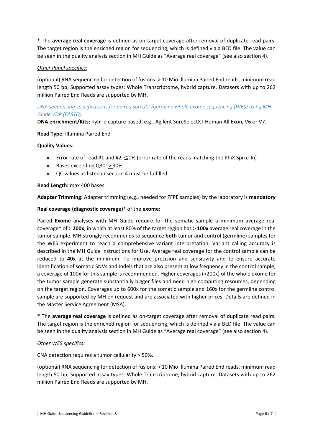\* The **average real coverage** is defined as on-target coverage after removal of duplicate read pairs. The target region is the enriched region for sequencing, which is defined via a BED file. The value can be seen in the quality analysis section in MH Guide as "Average real coverage" (see also section [4\)](#page-6-2).

# *Other Panel specifics:*

(optional) RNA sequencing for detection of fusions: > 10 Mio Illumina Paired End reads, minimum read length 50 bp; Supported assay types: Whole Transcriptome, hybrid capture. Datasets with up to 262 million Paired End Reads are supported by MH.

# *DNA sequencing specifications for paired somatic/germline whole exome sequencing (WES) using MH Guide VDP (FASTQ)*

**DNA enrichment/Kits:** hybrid capture based, e.g., Agilent SureSelectXT Human All Exon, V6 or V7.

#### **Read Type**: Illumina Paired End

#### **Quality Values:**

- Error rate of read #1 and #2  $\leq$  1% (error rate of the reads matching the PhiX Spike-In)
- Bases exceeding Q30: > 90%
- QC values as listed in section [4](#page-6-2) must be fulfilled

#### **Read Length:** max 400 bases

**Adapter Trimming:** Adapter trimming (e.g., needed for FFPE samples) by the laboratory is **mandatory**

#### **Real coverage (diagnostic coverage)**\* of the **exome**:

Paired **Exome** analyses with MH Guide require for the somatic sample a minimum average real coverage\* of > **200x**, in which at least 80% of the target region has > **100x** average real coverage in the tumor sample. MH strongly recommends to sequence **both** tumor and control (germline) samples for the WES experiment to reach a comprehensive variant interpretation. Variant calling accuracy is described in the MH Guide Instructions for Use. Average real coverage for the control sample can be reduced to **40x** at the minimum. To improve precision and sensitivity and to ensure accurate identification of somatic SNVs and Indels that are also present at low frequency in the control sample, a coverage of 100x for this sample is recommended. Higher coverages (>200x) of the whole exome for the tumor sample generate substantially bigger files and need high computing resources, depending on the target region. Coverages up to 600x for the somatic sample and 160x for the germline control sample are supported by MH on request and are associated with higher prices. Details are defined in the Master Service Agreement (MSA).

\* The **average real coverage** is defined as on-target coverage after removal of duplicate read pairs. The target region is the enriched region for sequencing, which is defined via a BED file. The value can be seen in the quality analysis section in MH Guide as "Average real coverage" (see also section [4\)](#page-6-2).

#### *Other WES specifics:*

CNA detection requires a tumor cellularity > 50%.

(optional) RNA sequencing for detection of fusions: > 10 Mio Illumina Paired End reads, minimum read length 50 bp; Supported assay types: Whole Transcriptome, hybrid capture. Datasets with up to 262 million Paired End Reads are supported by MH.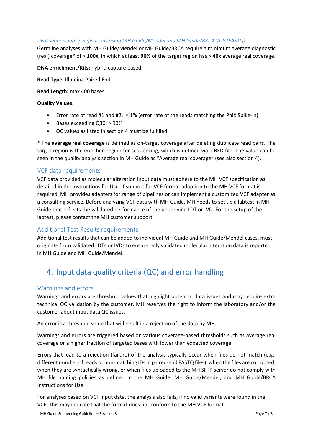#### *DNA sequencing specifications using MH Guide/Mendel and MH Guide/BRCA VDP (FASTQ)*

Germline analyses with MH Guide/Mendel or MH Guide/BRCA require a minimum average diagnostic (real) coverage\* of > **100x**, in which at least **96%** of the target region has > **40x** average real coverage.

**DNA enrichment/Kits:** hybrid capture based

**Read Type**: Illumina Paired End

**Read Length:** max 400 bases

#### **Quality Values:**

- Error rate of read #1 and #2:  $\leq$ 1% (error rate of the reads matching the PhiX Spike-In)
- Bases exceeding Q30: > 90%
- QC values as listed in section [4](#page-6-2) must be fulfilled

\* The **average real coverage** is defined as on-target coverage after deleting duplicate read pairs. The target region is the enriched region for sequencing, which is defined via a BED file. The value can be seen in the quality analysis section in MH Guide as "Average real coverage" (see also section [4\)](#page-6-2).

# <span id="page-6-0"></span>VCF data requirements

VCF data provided as molecular alteration input data must adhere to the MH VCF specification as detailed in the Instructions for Use. If support for VCF format adaption to the MH VCF format is required, MH provides adapters for range of pipelines or can implement a customized VCF adapter as a consulting service. Before analyzing VCF data with MH Guide, MH needs to set up a labtest in MH Guide that reflects the validated performance of the underlying LDT or IVD. For the setup of the labtest, please contact the MH customer support.

# <span id="page-6-1"></span>Additional Test Results requirements

Additional test results that can be added to individual MH Guide and MH Guide/Mendel cases, must originate from validated LDTs or IVDs to ensure only validated molecular alteration data is reported in MH Guide and MH Guide/Mendel.

# <span id="page-6-2"></span>4. Input data quality criteria (QC) and error handling

# <span id="page-6-3"></span>Warnings and errors

Warnings and errors are threshold values that highlight potential data issues and may require extra technical QC validation by the customer. MH reserves the right to inform the laboratory and/or the customer about input data QC issues.

An error is a threshold value that will result in a rejection of the data by MH.

Warnings and errors are triggered based on various coverage-based thresholds such as average real coverage or a higher fraction of targeted bases with lower than expected coverage.

Errors that lead to a rejection (failure) of the analysis typically occur when files do not match (e.g., different number of reads or non-matching IDs in paired-end FASTQ files), when the files are corrupted, when they are syntactically wrong, or when files uploaded to the MH SFTP server do not comply with MH file naming policies as defined in the MH Guide, MH Guide/Mendel, and MH Guide/BRCA Instructions for Use.

For analyses based on VCF input data, the analysis also fails, if no valid variants were found in the VCF. This may indicate that the format does not conform to the MH VCF format.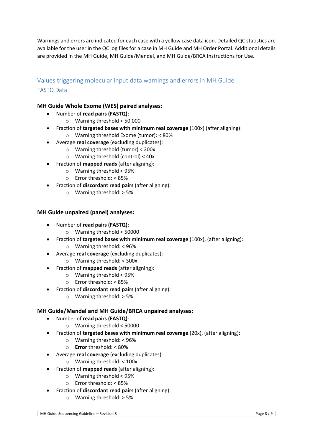Warnings and errors are indicated for each case with a yellow case data icon. Detailed QC statistics are available for the user in the QC log files for a case in MH Guide and MH Order Portal. Additional details are provided in the MH Guide, MH Guide/Mendel, and MH Guide/BRCA Instructions for Use.

# <span id="page-7-1"></span><span id="page-7-0"></span>Values triggering molecular input data warnings and errors in MH Guide FASTQ Data

# **MH Guide Whole Exome (WES) paired analyses:**

- Number of **read pairs (FASTQ)**:
	- o Warning threshold < 50.000
- Fraction of **targeted bases with minimum real coverage** (100x) (after aligning): o Warning threshold Exome (tumor): < 80%
- Average **real coverage** (excluding duplicates):
	- o Warning threshold (tumor) < 200x
	- o Warning threshold (control) < 40x
- Fraction of **mapped reads** (after aligning):
	- o Warning threshold < 95%
	- o Error threshold: < 85%
- Fraction of **discordant read pairs** (after aligning):
	- o Warning threshold: > 5%

# **MH Guide unpaired (panel) analyses:**

- Number of **read pairs (FASTQ)**:
	- o Warning threshold < 50000
- Fraction of **targeted bases with minimum real coverage** (100x), (after aligning): o Warning threshold: < 96%
- Average **real coverage** (excluding duplicates):
	- o Warning threshold: < 300x
- Fraction of **mapped reads** (after aligning):
	- o Warning threshold < 95%
	- o Error threshold: < 85%
- Fraction of **discordant read pairs** (after aligning):
	- o Warning threshold: > 5%

# **MH Guide/Mendel and MH Guide/BRCA unpaired analyses:**

- Number of **read pairs (FASTQ)**:
	- o Warning threshold < 50000
- Fraction of **targeted bases with minimum real coverage** (20x), (after aligning):
	- o Warning threshold: < 96%
	- o **Error** threshold: < 80%
- Average **real coverage** (excluding duplicates):
	- o Warning threshold: < 100x
- Fraction of **mapped reads** (after aligning):
	- o Warning threshold < 95%
	- o Error threshold: < 85%
- Fraction of **discordant read pairs** (after aligning):
	- o Warning threshold: > 5%